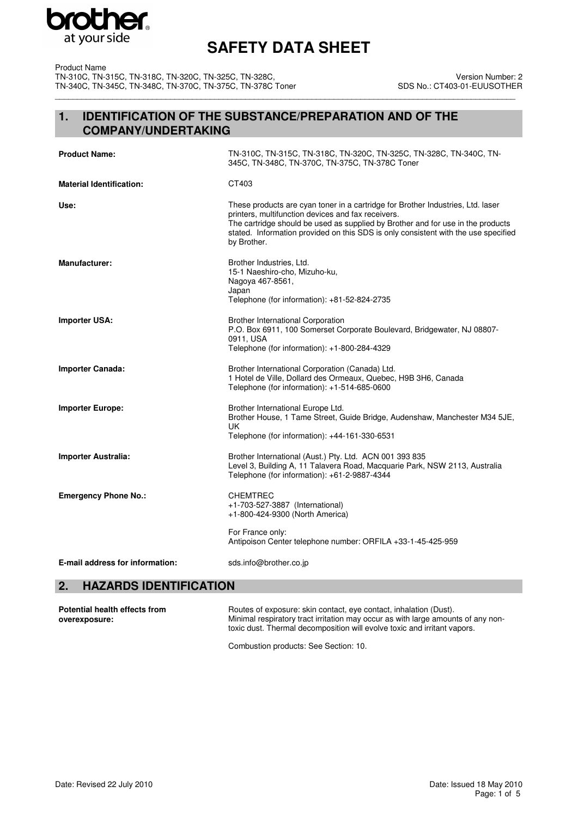

Product Name TN-310C, TN-315C, TN-318C, TN-320C, TN-325C, TN-328C, TN-340C, TN-345C, TN-348C, TN-370C, TN-375C, TN-378C Toner \_\_\_\_\_\_\_\_\_\_\_\_\_\_\_\_\_\_\_\_\_\_\_\_\_\_\_\_\_\_\_\_\_\_\_\_\_\_\_\_\_\_\_\_\_\_\_\_\_\_\_\_\_\_\_\_\_\_\_\_\_\_\_\_\_\_\_\_\_\_\_\_\_\_\_\_\_\_\_\_\_\_\_\_\_\_\_\_\_\_\_\_\_\_\_\_\_\_\_\_\_\_\_\_

Version Number: 2 SDS No.: CT403-01-EUUSOTHER

## **1. IDENTIFICATION OF THE SUBSTANCE/PREPARATION AND OF THE COMPANY/UNDERTAKING**

| <b>Product Name:</b>            | TN-310C, TN-315C, TN-318C, TN-320C, TN-325C, TN-328C, TN-340C, TN-<br>345C, TN-348C, TN-370C, TN-375C, TN-378C Toner                                                                                                                                                                                                          |
|---------------------------------|-------------------------------------------------------------------------------------------------------------------------------------------------------------------------------------------------------------------------------------------------------------------------------------------------------------------------------|
| <b>Material Identification:</b> | CT403                                                                                                                                                                                                                                                                                                                         |
| Use:                            | These products are cyan toner in a cartridge for Brother Industries, Ltd. laser<br>printers, multifunction devices and fax receivers.<br>The cartridge should be used as supplied by Brother and for use in the products<br>stated. Information provided on this SDS is only consistent with the use specified<br>by Brother. |
| <b>Manufacturer:</b>            | Brother Industries, Ltd.<br>15-1 Naeshiro-cho, Mizuho-ku,<br>Nagoya 467-8561,<br>Japan<br>Telephone (for information): +81-52-824-2735                                                                                                                                                                                        |
| <b>Importer USA:</b>            | <b>Brother International Corporation</b><br>P.O. Box 6911, 100 Somerset Corporate Boulevard, Bridgewater, NJ 08807-<br>0911, USA<br>Telephone (for information): +1-800-284-4329                                                                                                                                              |
| <b>Importer Canada:</b>         | Brother International Corporation (Canada) Ltd.<br>1 Hotel de Ville, Dollard des Ormeaux, Quebec, H9B 3H6, Canada<br>Telephone (for information): +1-514-685-0600                                                                                                                                                             |
| <b>Importer Europe:</b>         | Brother International Europe Ltd.<br>Brother House, 1 Tame Street, Guide Bridge, Audenshaw, Manchester M34 5JE,<br>UK<br>Telephone (for information): +44-161-330-6531                                                                                                                                                        |
| <b>Importer Australia:</b>      | Brother International (Aust.) Pty. Ltd. ACN 001 393 835<br>Level 3, Building A, 11 Talavera Road, Macquarie Park, NSW 2113, Australia<br>Telephone (for information): +61-2-9887-4344                                                                                                                                         |
| <b>Emergency Phone No.:</b>     | <b>CHEMTREC</b><br>+1-703-527-3887 (International)<br>+1-800-424-9300 (North America)<br>For France only:<br>Antipoison Center telephone number: ORFILA +33-1-45-425-959                                                                                                                                                      |
| E-mail address for information: | sds.info@brother.co.jp                                                                                                                                                                                                                                                                                                        |

## **2. HAZARDS IDENTIFICATION**

| Potential health effects from | Routes of exposure: skin contact, eye contact, inhalation (Dust).                                                                                            |
|-------------------------------|--------------------------------------------------------------------------------------------------------------------------------------------------------------|
| overexposure:                 | Minimal respiratory tract irritation may occur as with large amounts of any non-<br>toxic dust. Thermal decomposition will evolve toxic and irritant vapors. |
|                               |                                                                                                                                                              |

Combustion products: See Section: 10.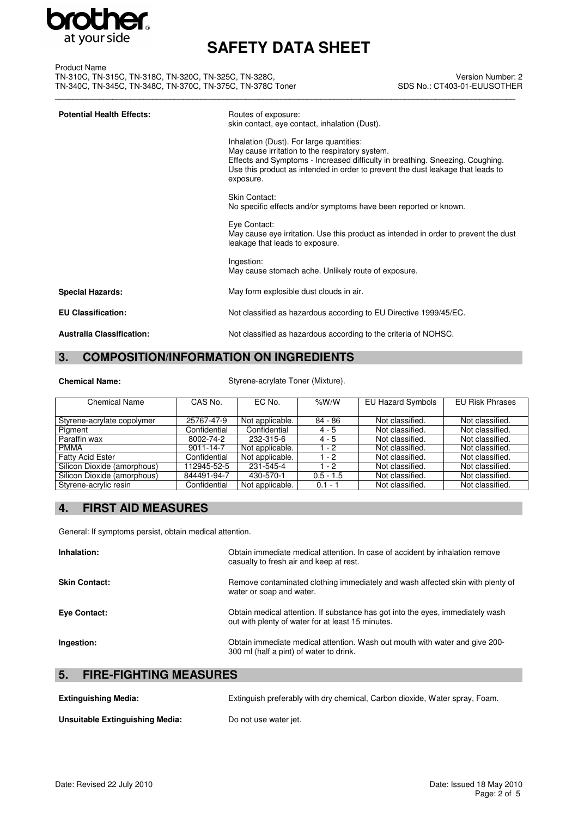

| Product Name                                               |                            |
|------------------------------------------------------------|----------------------------|
| TN-310C, TN-315C, TN-318C, TN-320C, TN-325C, TN-328C,      | <b>Version Number</b>      |
| TN-340C, TN-345C, TN-348C, TN-370C, TN-375C, TN-378C Toner | SDS No.: CT403-01-EUUSOTHE |
|                                                            |                            |

Version Number: 2 SDS No.: CT403-01-EUUSOTHER

| <b>Potential Health Effects:</b> | Routes of exposure:<br>skin contact, eye contact, inhalation (Dust).                                                                                                                                                                                                         |
|----------------------------------|------------------------------------------------------------------------------------------------------------------------------------------------------------------------------------------------------------------------------------------------------------------------------|
|                                  | Inhalation (Dust). For large quantities:<br>May cause irritation to the respiratory system.<br>Effects and Symptoms - Increased difficulty in breathing. Sneezing. Coughing.<br>Use this product as intended in order to prevent the dust leakage that leads to<br>exposure. |
|                                  | <b>Skin Contact:</b><br>No specific effects and/or symptoms have been reported or known.                                                                                                                                                                                     |
|                                  | Eye Contact:<br>May cause eye irritation. Use this product as intended in order to prevent the dust<br>leakage that leads to exposure.                                                                                                                                       |
|                                  | Ingestion:<br>May cause stomach ache. Unlikely route of exposure.                                                                                                                                                                                                            |
| <b>Special Hazards:</b>          | May form explosible dust clouds in air.                                                                                                                                                                                                                                      |
| <b>EU Classification:</b>        | Not classified as hazardous according to EU Directive 1999/45/EC.                                                                                                                                                                                                            |
| <b>Australia Classification:</b> | Not classified as hazardous according to the criteria of NOHSC.                                                                                                                                                                                                              |

## **3. COMPOSITION/INFORMATION ON INGREDIENTS**

Chemical Name: Styrene-acrylate Toner (Mixture).

| Chemical Name               | CAS No.      | EC No.          | % $W/W$     | EU Hazard Symbols | <b>EU Risk Phrases</b> |
|-----------------------------|--------------|-----------------|-------------|-------------------|------------------------|
|                             |              |                 |             |                   |                        |
| Styrene-acrylate copolymer  | 25767-47-9   | Not applicable. | 84 - 86     | Not classified.   | Not classified.        |
| Pigment                     | Confidential | Confidential    | $4 - 5$     | Not classified.   | Not classified.        |
| Paraffin wax                | 8002-74-2    | 232-315-6       | $4 - 5$     | Not classified.   | Not classified.        |
| <b>PMMA</b>                 | 9011-14-7    | Not applicable. | $1 - 2$     | Not classified.   | Not classified.        |
| <b>Fatty Acid Ester</b>     | Confidential | Not applicable. | $1 - 2$     | Not classified.   | Not classified.        |
| Silicon Dioxide (amorphous) | 112945-52-5  | 231-545-4       | 1 - 2       | Not classified.   | Not classified.        |
| Silicon Dioxide (amorphous) | 844491-94-7  | 430-570-1       | $0.5 - 1.5$ | Not classified.   | Not classified.        |
| Styrene-acrylic resin       | Confidential | Not applicable. | $0.1 - 1$   | Not classified.   | Not classified.        |

## **4. FIRST AID MEASURES**

General: If symptoms persist, obtain medical attention.

| Inhalation:          | Obtain immediate medical attention. In case of accident by inhalation remove<br>casualty to fresh air and keep at rest.             |
|----------------------|-------------------------------------------------------------------------------------------------------------------------------------|
| <b>Skin Contact:</b> | Remove contaminated clothing immediately and wash affected skin with plenty of<br>water or soap and water.                          |
| <b>Eve Contact:</b>  | Obtain medical attention. If substance has got into the eyes, immediately wash<br>out with plenty of water for at least 15 minutes. |
| Ingestion:           | Obtain immediate medical attention. Wash out mouth with water and give 200-<br>300 ml (half a pint) of water to drink.              |

## **5. FIRE-FIGHTING MEASURES**

| <b>Extinguishing Media:</b>     | Extinguish preferably with dry chemical, Carbon dioxide, Water spray, Foam. |
|---------------------------------|-----------------------------------------------------------------------------|
| Unsuitable Extinguishing Media: | Do not use water jet.                                                       |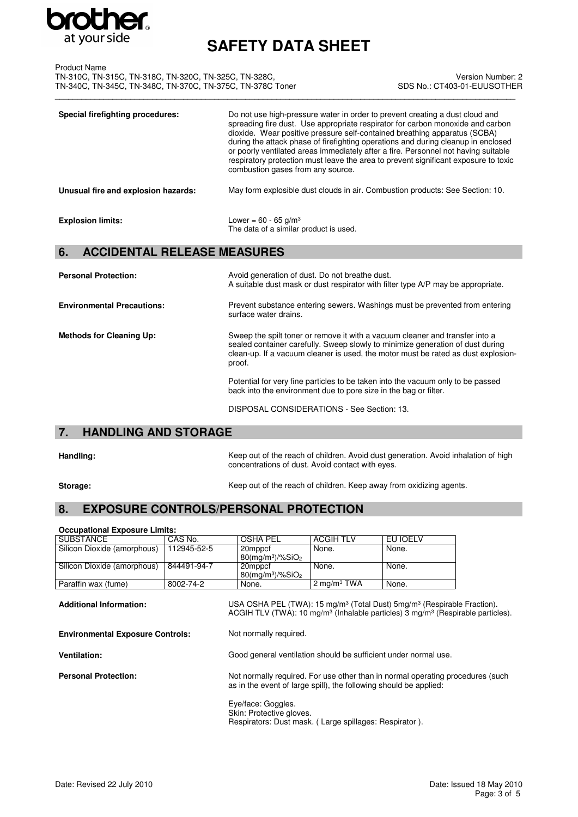

| <b>Product Name</b>                                        |                            |
|------------------------------------------------------------|----------------------------|
| TN-310C, TN-315C, TN-318C, TN-320C, TN-325C, TN-328C,      | <b>Version Number</b>      |
| TN-340C, TN-345C, TN-348C, TN-370C, TN-375C, TN-378C Toner | SDS No.: CT403-01-EUUSOTHE |
|                                                            |                            |

Version Number: 2 SDS No.: CT403-01-EUUSOTHER

| Special firefighting procedures:    | Do not use high-pressure water in order to prevent creating a dust cloud and<br>spreading fire dust. Use appropriate respirator for carbon monoxide and carbon<br>dioxide. Wear positive pressure self-contained breathing apparatus (SCBA)<br>during the attack phase of firefighting operations and during cleanup in enclosed<br>or poorly ventilated areas immediately after a fire. Personnel not having suitable<br>respiratory protection must leave the area to prevent significant exposure to toxic<br>combustion gases from any source. |
|-------------------------------------|----------------------------------------------------------------------------------------------------------------------------------------------------------------------------------------------------------------------------------------------------------------------------------------------------------------------------------------------------------------------------------------------------------------------------------------------------------------------------------------------------------------------------------------------------|
| Unusual fire and explosion hazards: | May form explosible dust clouds in air. Combustion products: See Section: 10.                                                                                                                                                                                                                                                                                                                                                                                                                                                                      |
| <b>Explosion limits:</b>            | Lower = $60 - 65$ g/m <sup>3</sup><br>The data of a similar product is used.                                                                                                                                                                                                                                                                                                                                                                                                                                                                       |

## **6. ACCIDENTAL RELEASE MEASURES**

| <b>Personal Protection:</b>       | Avoid generation of dust. Do not breathe dust.<br>A suitable dust mask or dust respirator with filter type A/P may be appropriate.                                                                                                                            |
|-----------------------------------|---------------------------------------------------------------------------------------------------------------------------------------------------------------------------------------------------------------------------------------------------------------|
| <b>Environmental Precautions:</b> | Prevent substance entering sewers. Washings must be prevented from entering<br>surface water drains.                                                                                                                                                          |
| <b>Methods for Cleaning Up:</b>   | Sweep the spilt toner or remove it with a vacuum cleaner and transfer into a<br>sealed container carefully. Sweep slowly to minimize generation of dust during<br>clean-up. If a vacuum cleaner is used, the motor must be rated as dust explosion-<br>proof. |
|                                   | Potential for very fine particles to be taken into the vacuum only to be passed<br>back into the environment due to pore size in the bag or filter.                                                                                                           |

DISPOSAL CONSIDERATIONS - See Section: 13.

## **7. HANDLING AND STORAGE**

**Occupational Exposure Limits:**

**Handling:** Keep out of the reach of children. Avoid dust generation. Avoid inhalation of high concentrations of dust. Avoid contact with eyes.

**Storage:** Keep out of the reach of children. Keep away from oxidizing agents.

## **8. EXPOSURE CONTROLS/PERSONAL PROTECTION**

| Occupational Exposare Ellints.          |             |                                                                                                                                                                                                            |                  |          |  |
|-----------------------------------------|-------------|------------------------------------------------------------------------------------------------------------------------------------------------------------------------------------------------------------|------------------|----------|--|
| <b>SUBSTANCE</b>                        | CAS No.     | <b>OSHA PEL</b>                                                                                                                                                                                            | <b>ACGIH TLV</b> | EU IOELV |  |
| Silicon Dioxide (amorphous)             | 112945-52-5 | 20mppcf                                                                                                                                                                                                    | None.            | None.    |  |
|                                         |             | $80$ (mg/m <sup>3</sup> )/%SiO <sub>2</sub>                                                                                                                                                                |                  |          |  |
| Silicon Dioxide (amorphous)             | 844491-94-7 | 20mppcf                                                                                                                                                                                                    | None.            | None.    |  |
|                                         |             | $80$ (mg/m <sup>3</sup> )/%SiO <sub>2</sub>                                                                                                                                                                |                  |          |  |
| Paraffin wax (fume)                     | 8002-74-2   | None.                                                                                                                                                                                                      | 2 mg/m $3$ TWA   | None.    |  |
| <b>Additional Information:</b>          |             | USA OSHA PEL (TWA): 15 mg/m <sup>3</sup> (Total Dust) 5mg/m <sup>3</sup> (Respirable Fraction).<br>ACGIH TLV (TWA): 10 mg/m <sup>3</sup> (Inhalable particles) 3 mg/m <sup>3</sup> (Respirable particles). |                  |          |  |
| <b>Environmental Exposure Controls:</b> |             | Not normally required.                                                                                                                                                                                     |                  |          |  |
| <b>Ventilation:</b>                     |             | Good general ventilation should be sufficient under normal use.                                                                                                                                            |                  |          |  |

**Personal Protection:** Not normally required. For use other than in normal operating procedures (such as in the event of large spill), the following should be applied:

> Eye/face: Goggles. Skin: Protective gloves. Respirators: Dust mask. ( Large spillages: Respirator ).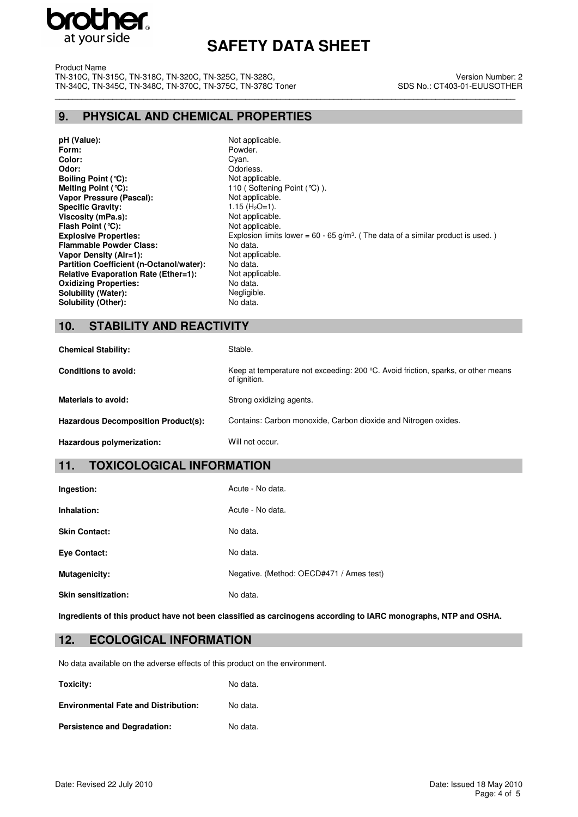

Product Name TN-310C, TN-315C, TN-318C, TN-320C, TN-325C, TN-328C, TN-340C, TN-345C, TN-348C, TN-370C, TN-375C, TN-378C Toner \_\_\_\_\_\_\_\_\_\_\_\_\_\_\_\_\_\_\_\_\_\_\_\_\_\_\_\_\_\_\_\_\_\_\_\_\_\_\_\_\_\_\_\_\_\_\_\_\_\_\_\_\_\_\_\_\_\_\_\_\_\_\_\_\_\_\_\_\_\_\_\_\_\_\_\_\_\_\_\_\_\_\_\_\_\_\_\_\_\_\_\_\_\_\_\_\_\_\_\_\_\_\_\_

#### Version Number: 2 SDS No.: CT403-01-EUUSOTHER

## **9. PHYSICAL AND CHEMICAL PROPERTIES**

**pH (Value):** Not applicable.<br> **Form:** Powder. **Form:** Powder.<br> **Color:** Color: Color: Cyan **Color:** Cyan. Cyan. Cyan. Cyan. Cyan. Cyan. Cyan. Cyan. Cyan. Cyan. Cyan. Cyan. Cyan. Cyan. Cyan. Cyan. Cyan. Cyan. Cyan. Cyan. Cyan. Cyan. Cyan. Cyan. Cyan. Cyan. Cyan. Cyan. Cyan. Cyan. Cyan. Cyan. Cyan. Cyan. Cyan. Cya **Boiling Point (°C):**<br>Melting Point (°C): **Vapor Pressure (Pascal):** Not applicable.<br> **Specific Gravity:** 1.15 (H<sub>2</sub>O=1). **Specific Gravity:**  $1.15 \text{ (H}_2\text{O}=1).$ <br> **Viscosity (mPa.s):** Not applicable. **Viscosity (mPa.s):** Not applicable.<br>
Flash Point (°C): Not applicable. **Flash Point (°C): Flammable Powder Class:** No data. **Vapor Density (Air=1):** Not applicable.<br> **Partition Coefficient (n-Octanol/water):** No data. **Partition Coefficient (n-Octanol/water): Relative Evaporation Rate (Ether=1):** Not applicable.<br> **Oxidizing Properties:** No data. **Oxidizing Properties: Solubility (Water):** Negligible.<br> **Solubility (Other):** No data. **Solubility (Other):** 

Odorless.<br>Not applicable. 110 (Softening Point (°C) ). **Explosive Properties:** Explosion limits lower = 60 - 65 g/m<sup>3</sup>. (The data of a similar product is used.)

## **10. STABILITY AND REACTIVITY**

| <b>Chemical Stability:</b>          | Stable.                                                                                                     |
|-------------------------------------|-------------------------------------------------------------------------------------------------------------|
| Conditions to avoid:                | Keep at temperature not exceeding: $200 \degree C$ . Avoid friction, sparks, or other means<br>of ignition. |
| <b>Materials to avoid:</b>          | Strong oxidizing agents.                                                                                    |
| Hazardous Decomposition Product(s): | Contains: Carbon monoxide, Carbon dioxide and Nitrogen oxides.                                              |
| Hazardous polymerization:           | Will not occur.                                                                                             |

## **11. TOXICOLOGICAL INFORMATION**

| Ingestion:                 | Acute - No data.                         |
|----------------------------|------------------------------------------|
| Inhalation:                | Acute - No data.                         |
| <b>Skin Contact:</b>       | No data.                                 |
| <b>Eye Contact:</b>        | No data.                                 |
| <b>Mutagenicity:</b>       | Negative. (Method: OECD#471 / Ames test) |
| <b>Skin sensitization:</b> | No data.                                 |

**Ingredients of this product have not been classified as carcinogens according to IARC monographs, NTP and OSHA.**

## **12. ECOLOGICAL INFORMATION**

No data available on the adverse effects of this product on the environment.

**Toxicity:** No data.

**Environmental Fate and Distribution:** No data. Persistence and Degradation: No data.